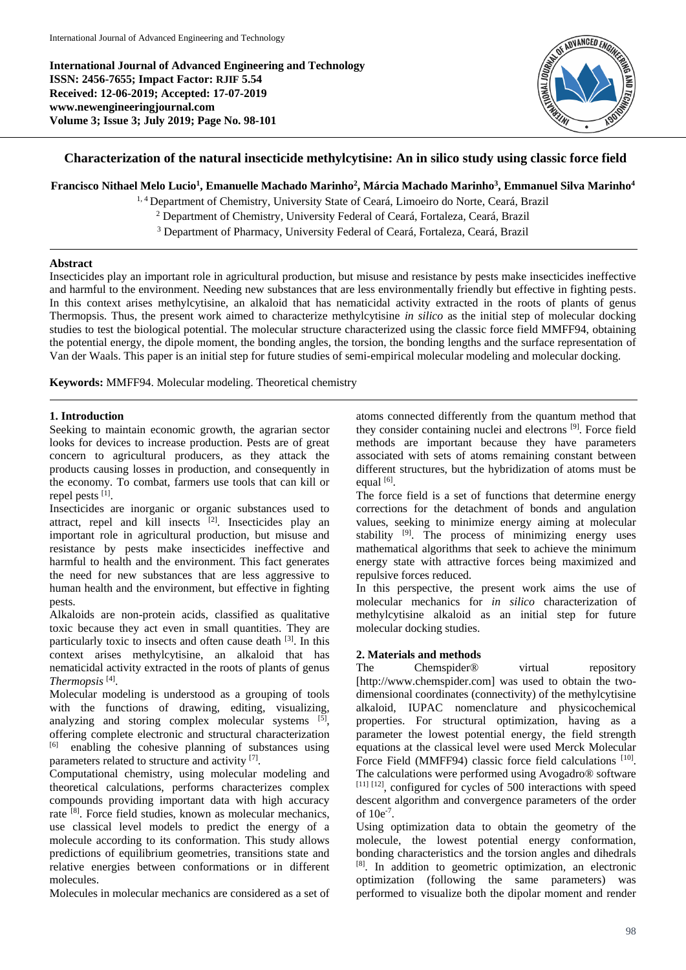**International Journal of Advanced Engineering and Technology ISSN: 2456-7655; Impact Factor: RJIF 5.54 Received: 12-06-2019; Accepted: 17-07-2019 www.newengineeringjournal.com Volume 3; Issue 3; July 2019; Page No. 98-101**



# **Characterization of the natural insecticide methylcytisine: An in silico study using classic force field**

# **Francisco Nithael Melo Lucio<sup>1</sup> , Emanuelle Machado Marinho<sup>2</sup> , Márcia Machado Marinho<sup>3</sup> , Emmanuel Silva Marinho<sup>4</sup>**

<sup>1, 4</sup> Department of Chemistry, University State of Ceará, Limoeiro do Norte, Ceará, Brazil

<sup>2</sup> Department of Chemistry, University Federal of Ceará, Fortaleza, Ceará, Brazil

<sup>3</sup> Department of Pharmacy, University Federal of Ceará, Fortaleza, Ceará, Brazil

# **Abstract**

Insecticides play an important role in agricultural production, but misuse and resistance by pests make insecticides ineffective and harmful to the environment. Needing new substances that are less environmentally friendly but effective in fighting pests. In this context arises methylcytisine, an alkaloid that has nematicidal activity extracted in the roots of plants of genus Thermopsis. Thus, the present work aimed to characterize methylcytisine *in silico* as the initial step of molecular docking studies to test the biological potential. The molecular structure characterized using the classic force field MMFF94, obtaining the potential energy, the dipole moment, the bonding angles, the torsion, the bonding lengths and the surface representation of Van der Waals. This paper is an initial step for future studies of semi-empirical molecular modeling and molecular docking.

**Keywords:** MMFF94. Molecular modeling. Theoretical chemistry

# **1. Introduction**

Seeking to maintain economic growth, the agrarian sector looks for devices to increase production. Pests are of great concern to agricultural producers, as they attack the products causing losses in production, and consequently in the economy. To combat, farmers use tools that can kill or repel pests [1].

Insecticides are inorganic or organic substances used to attract, repel and kill insects [2]. Insecticides play an important role in agricultural production, but misuse and resistance by pests make insecticides ineffective and harmful to health and the environment. This fact generates the need for new substances that are less aggressive to human health and the environment, but effective in fighting pests.

Alkaloids are non-protein acids, classified as qualitative toxic because they act even in small quantities. They are particularly toxic to insects and often cause death <sup>[3]</sup>. In this context arises methylcytisine, an alkaloid that has nematicidal activity extracted in the roots of plants of genus *Thermopsis* [4] .

Molecular modeling is understood as a grouping of tools with the functions of drawing, editing, visualizing, analyzing and storing complex molecular systems [5], offering complete electronic and structural characterization [6] enabling the cohesive planning of substances using parameters related to structure and activity [7].

Computational chemistry, using molecular modeling and theoretical calculations, performs characterizes complex compounds providing important data with high accuracy rate <sup>[8]</sup>. Force field studies, known as molecular mechanics, use classical level models to predict the energy of a molecule according to its conformation. This study allows predictions of equilibrium geometries, transitions state and relative energies between conformations or in different molecules.

Molecules in molecular mechanics are considered as a set of

atoms connected differently from the quantum method that they consider containing nuclei and electrons<sup>[9]</sup>. Force field methods are important because they have parameters associated with sets of atoms remaining constant between different structures, but the hybridization of atoms must be equal  $[6]$ .

The force field is a set of functions that determine energy corrections for the detachment of bonds and angulation values, seeking to minimize energy aiming at molecular stability  $[9]$ . The process of minimizing energy uses mathematical algorithms that seek to achieve the minimum energy state with attractive forces being maximized and repulsive forces reduced.

In this perspective, the present work aims the use of molecular mechanics for *in silico* characterization of methylcytisine alkaloid as an initial step for future molecular docking studies.

# **2. Materials and methods**

The Chemspider<sup>®</sup> virtual repository [http://www.chemspider.com] was used to obtain the twodimensional coordinates (connectivity) of the methylcytisine alkaloid, IUPAC nomenclature and physicochemical properties. For structural optimization, having as a parameter the lowest potential energy, the field strength equations at the classical level were used Merck Molecular Force Field (MMFF94) classic force field calculations [10]. The calculations were performed using Avogadro® software [11] [12], configured for cycles of 500 interactions with speed descent algorithm and convergence parameters of the order of 10e-7 .

Using optimization data to obtain the geometry of the molecule, the lowest potential energy conformation, bonding characteristics and the torsion angles and dihedrals [8]. In addition to geometric optimization, an electronic optimization (following the same parameters) was performed to visualize both the dipolar moment and render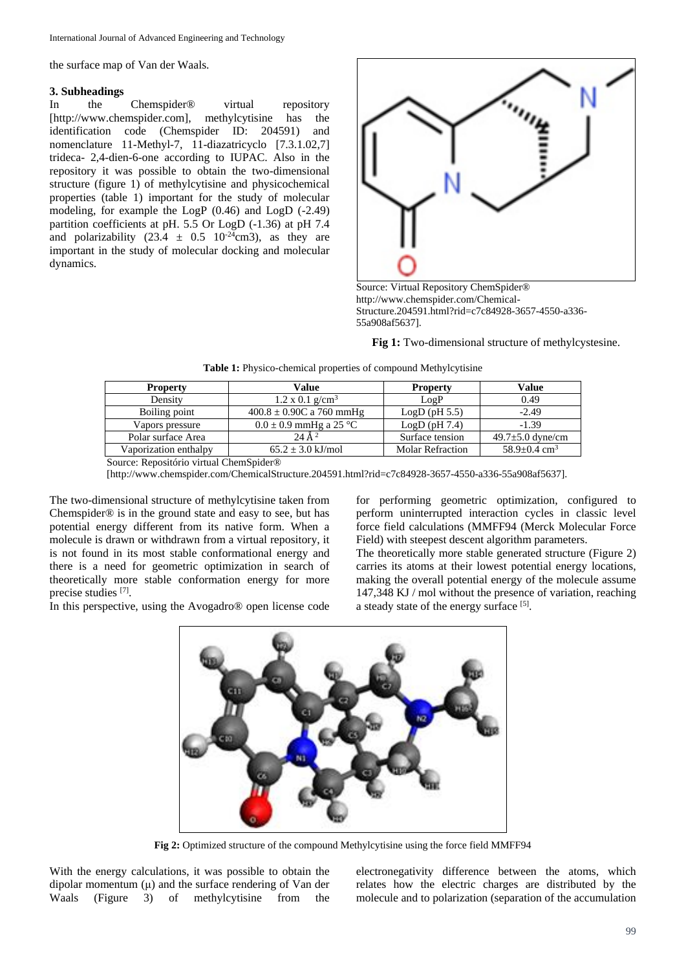the surface map of Van der Waals.

### **3. Subheadings**

In the Chemspider® virtual repository [http://www.chemspider.com], methylcytisine has the identification code (Chemspider ID: 204591) and nomenclature 11-Methyl-7, 11-diazatricyclo [7.3.1.02,7] trideca- 2,4-dien-6-one according to IUPAC. Also in the repository it was possible to obtain the two-dimensional structure (figure 1) of methylcytisine and physicochemical properties (table 1) important for the study of molecular modeling, for example the LogP (0.46) and LogD (-2.49) partition coefficients at pH. 5.5 Or LogD (-1.36) at pH 7.4 and polarizability  $(23.4 \pm 0.5 \ 10^{-24} \text{cm}^3)$ , as they are important in the study of molecular docking and molecular dynamics.



Source: Virtual Repository ChemSpider® http://www.chemspider.com/Chemical-Structure.204591.html?rid=c7c84928-3657-4550-a336- 55a908af5637].

**Fig 1:** Two-dimensional structure of methylcystesine.

|  |  |  | Table 1: Physico-chemical properties of compound Methylcytisine |
|--|--|--|-----------------------------------------------------------------|
|  |  |  |                                                                 |

| <b>Property</b>       | Value                              | <b>Property</b>  | Value                          |
|-----------------------|------------------------------------|------------------|--------------------------------|
| Density               | $1.2 \times 0.1$ g/cm <sup>3</sup> | LogP             | 0.49                           |
| Boiling point         | $400.8 \pm 0.90C$ a 760 mmHg       | LogD(pH 5.5)     | $-2.49$                        |
| Vapors pressure       | $0.0 \pm 0.9$ mmHg a 25 °C         | LogD(pH7.4)      | $-1.39$                        |
| Polar surface Area    | 24 $\AA$ <sup>2</sup>              | Surface tension  | $49.7 \pm 5.0$ dyne/cm         |
| Vaporization enthalpy | $65.2 \pm 3.0 \text{ kJ/mol}$      | Molar Refraction | $58.9 \pm 0.4$ cm <sup>3</sup> |

Source: Repositório virtual ChemSpider®

[http://www.chemspider.com/ChemicalStructure.204591.html?rid=c7c84928-3657-4550-a336-55a908af5637].

The two-dimensional structure of methylcytisine taken from Chemspider® is in the ground state and easy to see, but has potential energy different from its native form. When a molecule is drawn or withdrawn from a virtual repository, it is not found in its most stable conformational energy and there is a need for geometric optimization in search of theoretically more stable conformation energy for more precise studies [7].

In this perspective, using the Avogadro® open license code

for performing geometric optimization, configured to perform uninterrupted interaction cycles in classic level force field calculations (MMFF94 (Merck Molecular Force Field) with steepest descent algorithm parameters.

The theoretically more stable generated structure (Figure 2) carries its atoms at their lowest potential energy locations, making the overall potential energy of the molecule assume 147,348 KJ / mol without the presence of variation, reaching a steady state of the energy surface [5].



**Fig 2:** Optimized structure of the compound Methylcytisine using the force field MMFF94

With the energy calculations, it was possible to obtain the dipolar momentum  $(\mu)$  and the surface rendering of Van der Waals (Figure 3) of methylcytisine from the electronegativity difference between the atoms, which relates how the electric charges are distributed by the molecule and to polarization (separation of the accumulation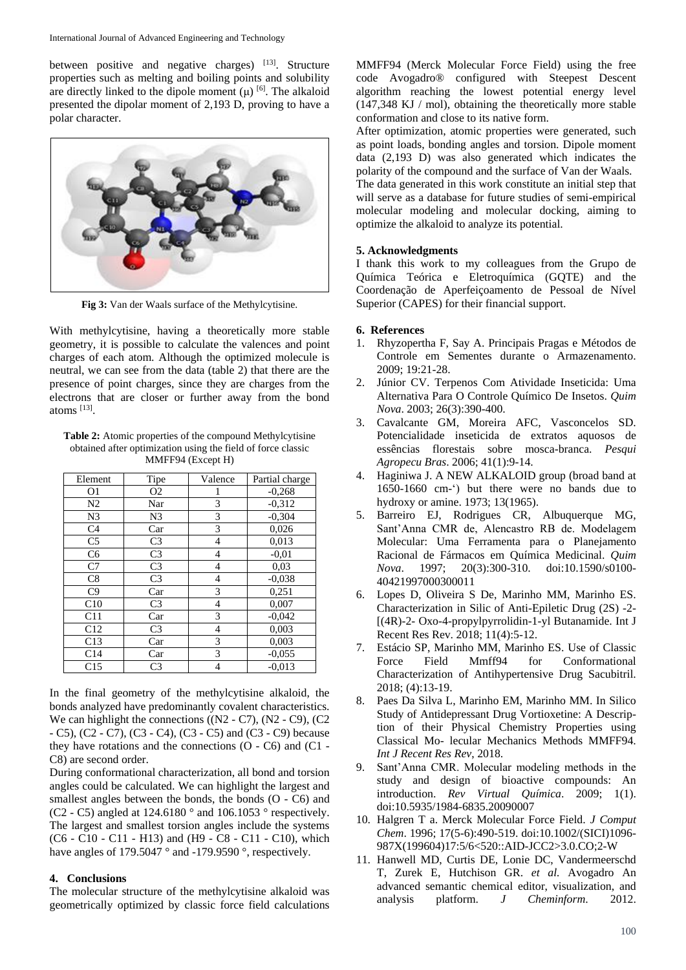between positive and negative charges)  $[13]$ . Structure properties such as melting and boiling points and solubility are directly linked to the dipole moment  $(\mu)$  [6]. The alkaloid presented the dipolar moment of 2,193 D, proving to have a polar character.



**Fig 3:** Van der Waals surface of the Methylcytisine.

With methylcytisine, having a theoretically more stable geometry, it is possible to calculate the valences and point charges of each atom. Although the optimized molecule is neutral, we can see from the data (table 2) that there are the presence of point charges, since they are charges from the electrons that are closer or further away from the bond atoms [13] .

**Table 2:** Atomic properties of the compound Methylcytisine obtained after optimization using the field of force classic MMFF94 (Except H)

| Element        | Tipe           | Valence        | Partial charge |
|----------------|----------------|----------------|----------------|
| 01             | O <sub>2</sub> | 1              | $-0,268$       |
| N <sub>2</sub> | Nar            | 3              | $-0.312$       |
| N3             | N <sub>3</sub> | 3              | $-0.304$       |
| C <sub>4</sub> | Car            | 3              | 0,026          |
| C <sub>5</sub> | C <sub>3</sub> | 4              | 0,013          |
| C <sub>6</sub> | C <sub>3</sub> | 4              | $-0.01$        |
| C7             | C <sub>3</sub> | 4              | 0,03           |
| C8             | C <sub>3</sub> | 4              | $-0.038$       |
| C9             | Car            | 3              | 0,251          |
| C10            | C <sub>3</sub> | $\overline{4}$ | 0,007          |
| C11            | Car            | 3              | $-0.042$       |
| C12            | C <sub>3</sub> | 4              | 0,003          |
| C13            | Car            | 3              | 0,003          |
| C14            | Car            | 3              | $-0.055$       |
| C15            | C <sub>3</sub> | 4              | $-0.013$       |

In the final geometry of the methylcytisine alkaloid, the bonds analyzed have predominantly covalent characteristics. We can highlight the connections ((N2 - C7), (N2 - C9), (C2) - C5), (C2 - C7), (C3 - C4), (C3 - C5) and (C3 - C9) because they have rotations and the connections (O - C6) and (C1 - C8) are second order.

During conformational characterization, all bond and torsion angles could be calculated. We can highlight the largest and smallest angles between the bonds, the bonds (O - C6) and (C2 - C5) angled at 124.6180 ° and 106.1053 ° respectively. The largest and smallest torsion angles include the systems  $(C6 - C10 - C11 - H13)$  and  $(H9 - C8 - C11 - C10)$ , which have angles of 179.5047 ° and -179.9590 °, respectively.

### **4. Conclusions**

The molecular structure of the methylcytisine alkaloid was geometrically optimized by classic force field calculations

MMFF94 (Merck Molecular Force Field) using the free code Avogadro® configured with Steepest Descent algorithm reaching the lowest potential energy level (147,348 KJ / mol), obtaining the theoretically more stable conformation and close to its native form.

After optimization, atomic properties were generated, such as point loads, bonding angles and torsion. Dipole moment data (2,193 D) was also generated which indicates the polarity of the compound and the surface of Van der Waals.

The data generated in this work constitute an initial step that will serve as a database for future studies of semi-empirical molecular modeling and molecular docking, aiming to optimize the alkaloid to analyze its potential.

# **5. Acknowledgments**

I thank this work to my colleagues from the Grupo de Química Teórica e Eletroquímica (GQTE) and the Coordenação de Aperfeiçoamento de Pessoal de Nível Superior (CAPES) for their financial support.

# **6. References**

- 1. Rhyzopertha F, Say A. Principais Pragas e Métodos de Controle em Sementes durante o Armazenamento. 2009; 19:21-28.
- 2. Júnior CV. Terpenos Com Atividade Inseticida: Uma Alternativa Para O Controle Químico De Insetos. *Quim Nova*. 2003; 26(3):390-400.
- 3. Cavalcante GM, Moreira AFC, Vasconcelos SD. Potencialidade inseticida de extratos aquosos de essências florestais sobre mosca-branca. *Pesqui Agropecu Bras*. 2006; 41(1):9-14.
- 4. Haginiwa J. A NEW ALKALOID group (broad band at 1650-1660 cm-') but there were no bands due to hydroxy or amine. 1973; 13(1965).
- 5. Barreiro EJ, Rodrigues CR, Albuquerque MG, Sant'Anna CMR de, Alencastro RB de. Modelagem Molecular: Uma Ferramenta para o Planejamento Racional de Fármacos em Química Medicinal. *Quim Nova*. 1997; 20(3):300-310. doi:10.1590/s0100- 40421997000300011
- 6. Lopes D, Oliveira S De, Marinho MM, Marinho ES. Characterization in Silic of Anti-Epiletic Drug (2S) -2- [(4R)-2- Oxo-4-propylpyrrolidin-1-yl Butanamide. Int J Recent Res Rev. 2018; 11(4):5-12.
- 7. Estácio SP, Marinho MM, Marinho ES. Use of Classic Force Field Mmff94 for Conformational Characterization of Antihypertensive Drug Sacubitril. 2018; (4):13-19.
- 8. Paes Da Silva L, Marinho EM, Marinho MM. In Silico Study of Antidepressant Drug Vortioxetine: A Description of their Physical Chemistry Properties using Classical Mo- lecular Mechanics Methods MMFF94. *Int J Recent Res Rev*, 2018.
- 9. Sant'Anna CMR. Molecular modeling methods in the study and design of bioactive compounds: An introduction. *Rev Virtual Química*. 2009; 1(1). doi:10.5935/1984-6835.20090007
- 10. Halgren T a. Merck Molecular Force Field. *J Comput Chem*. 1996; 17(5-6):490-519. doi:10.1002/(SICI)1096- 987X(199604)17:5/6<520::AID-JCC2>3.0.CO;2-W
- 11. Hanwell MD, Curtis DE, Lonie DC, Vandermeerschd T, Zurek E, Hutchison GR. *et al.* Avogadro An advanced semantic chemical editor, visualization, and analysis platform. *J Cheminform*. 2012.